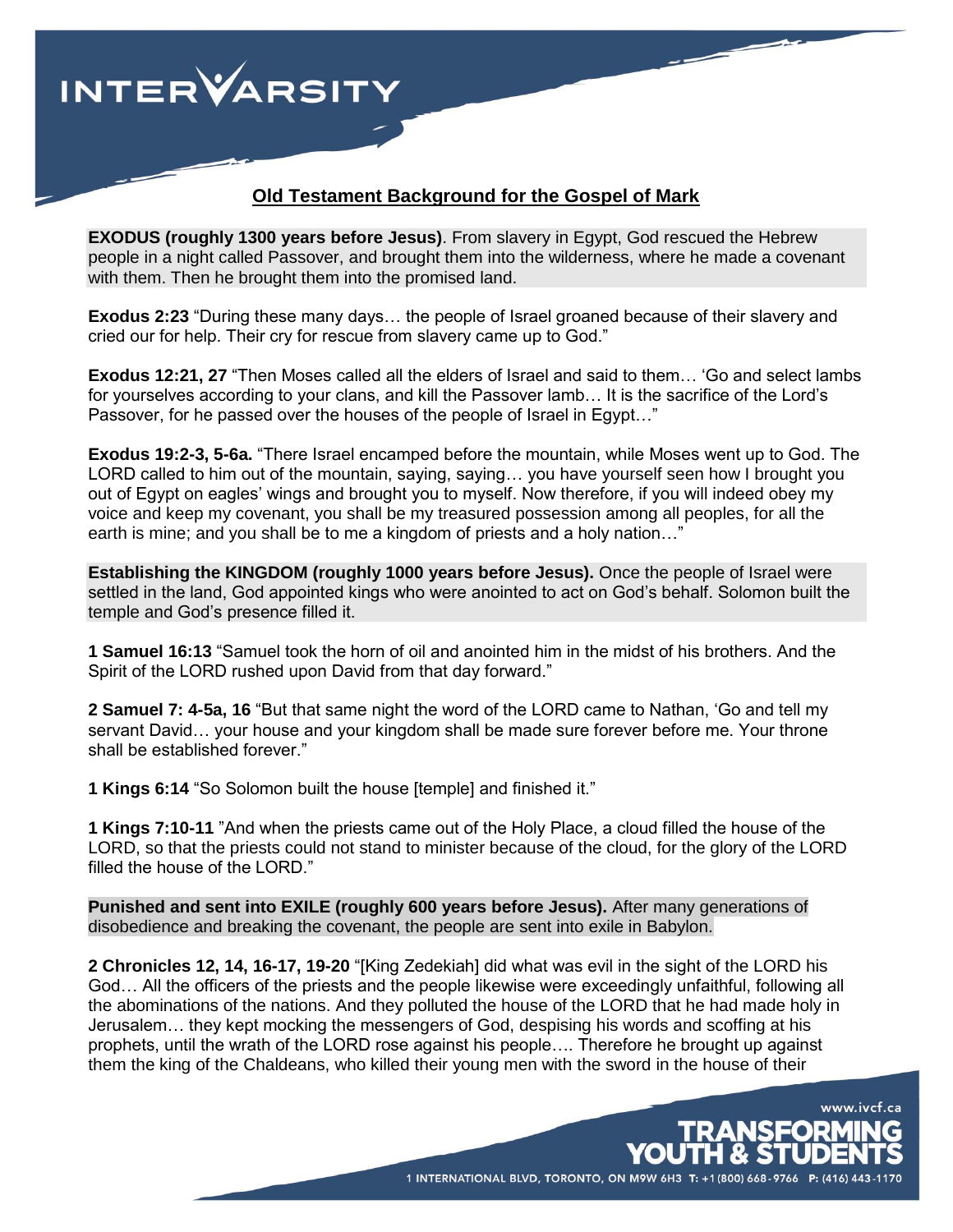

## **Old Testament Background for the Gospel of Mark**

**EXODUS (roughly 1300 years before Jesus)**. From slavery in Egypt, God rescued the Hebrew people in a night called Passover, and brought them into the wilderness, where he made a covenant with them. Then he brought them into the promised land.

**Exodus 2:23** "During these many days… the people of Israel groaned because of their slavery and cried our for help. Their cry for rescue from slavery came up to God."

**Exodus 12:21, 27** "Then Moses called all the elders of Israel and said to them… 'Go and select lambs for yourselves according to your clans, and kill the Passover lamb… It is the sacrifice of the Lord's Passover, for he passed over the houses of the people of Israel in Egypt…"

**Exodus 19:2-3, 5-6a.** "There Israel encamped before the mountain, while Moses went up to God. The LORD called to him out of the mountain, saying, saying… you have yourself seen how I brought you out of Egypt on eagles' wings and brought you to myself. Now therefore, if you will indeed obey my voice and keep my covenant, you shall be my treasured possession among all peoples, for all the earth is mine; and you shall be to me a kingdom of priests and a holy nation…"

**Establishing the KINGDOM (roughly 1000 years before Jesus).** Once the people of Israel were settled in the land, God appointed kings who were anointed to act on God's behalf. Solomon built the temple and God's presence filled it.

**1 Samuel 16:13** "Samuel took the horn of oil and anointed him in the midst of his brothers. And the Spirit of the LORD rushed upon David from that day forward."

**2 Samuel 7: 4-5a, 16** "But that same night the word of the LORD came to Nathan, 'Go and tell my servant David… your house and your kingdom shall be made sure forever before me. Your throne shall be established forever."

**1 Kings 6:14** "So Solomon built the house [temple] and finished it."

**1 Kings 7:10-11** "And when the priests came out of the Holy Place, a cloud filled the house of the LORD, so that the priests could not stand to minister because of the cloud, for the glory of the LORD filled the house of the LORD."

**Punished and sent into EXILE (roughly 600 years before Jesus).** After many generations of disobedience and breaking the covenant, the people are sent into exile in Babylon.

**2 Chronicles 12, 14, 16-17, 19-20** "[King Zedekiah] did what was evil in the sight of the LORD his God… All the officers of the priests and the people likewise were exceedingly unfaithful, following all the abominations of the nations. And they polluted the house of the LORD that he had made holy in Jerusalem… they kept mocking the messengers of God, despising his words and scoffing at his prophets, until the wrath of the LORD rose against his people…. Therefore he brought up against them the king of the Chaldeans, who killed their young men with the sword in the house of their

1 INTERNATIONAL BLVD, TORONTO, ON M9W 6H3 T: +1 (800) 668-9766 P: (416) 4

www.ivcf.ca

**USEORMING**